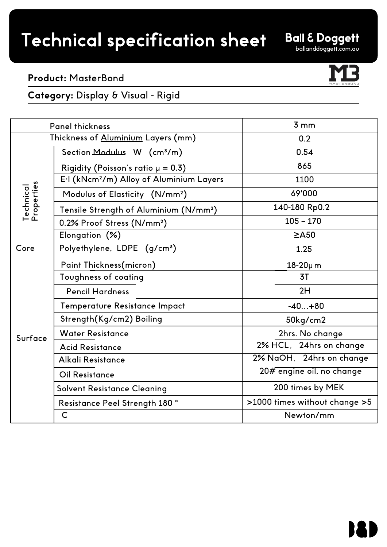# Technical specification sheet

**Ball & Doggett** 

### **Product:** MasterBond

**Category:** Display & Visual - Rigid

| <b>Panel thickness</b>             |                                                      | 3mm                           |
|------------------------------------|------------------------------------------------------|-------------------------------|
| Thickness of Aluminium Layers (mm) |                                                      | 0.2                           |
| Technical<br>Properties            | Section Modulus W (cm <sup>3</sup> /m)               | 0.54                          |
|                                    | Rigidity (Poisson's ratio $\mu = 0.3$ )              | 865                           |
|                                    | E.I (kNcm <sup>2</sup> /m) Alloy of Aluminium Layers | 1100                          |
|                                    | Modulus of Elasticity (N/mm <sup>2</sup> )           | 69'000                        |
|                                    | Tensile Strength of Aluminium (N/mm <sup>2</sup> )   | 140-180 Rp0.2                 |
|                                    | 0.2% Proof Stress (N/mm <sup>2</sup> )               | $105 - 170$                   |
|                                    | Elongation (%)                                       | $\geq$ A50                    |
| Core                               | Polyethylene, LDPE (g/cm <sup>3</sup> )              | 1.25                          |
| Surface                            | Paint Thickness(micron)                              | $18-20\mu$ m                  |
|                                    | Toughness of coating                                 | 3T                            |
|                                    | <b>Pencil Hardness</b>                               | 2H                            |
|                                    | Temperature Resistance Impact                        | $-40+80$                      |
|                                    | Strength(Kg/cm2) Boiling                             | 50kg/cm2                      |
|                                    | <b>Water Resistance</b>                              | 2hrs. No change               |
|                                    | <b>Acid Resistance</b>                               | 2% HCL, 24hrs on change       |
|                                    | Alkali Resistance                                    | 2% NaOH, 24hrs on change      |
|                                    | <b>Oil Resistance</b>                                | 20# engine oil, no change     |
|                                    | <b>Solvent Resistance Cleaning</b>                   | 200 times by MEK              |
|                                    | Resistance Peel Strength 180°                        | >1000 times without change >5 |
|                                    | $\mathsf{C}$                                         | Newton/mm                     |